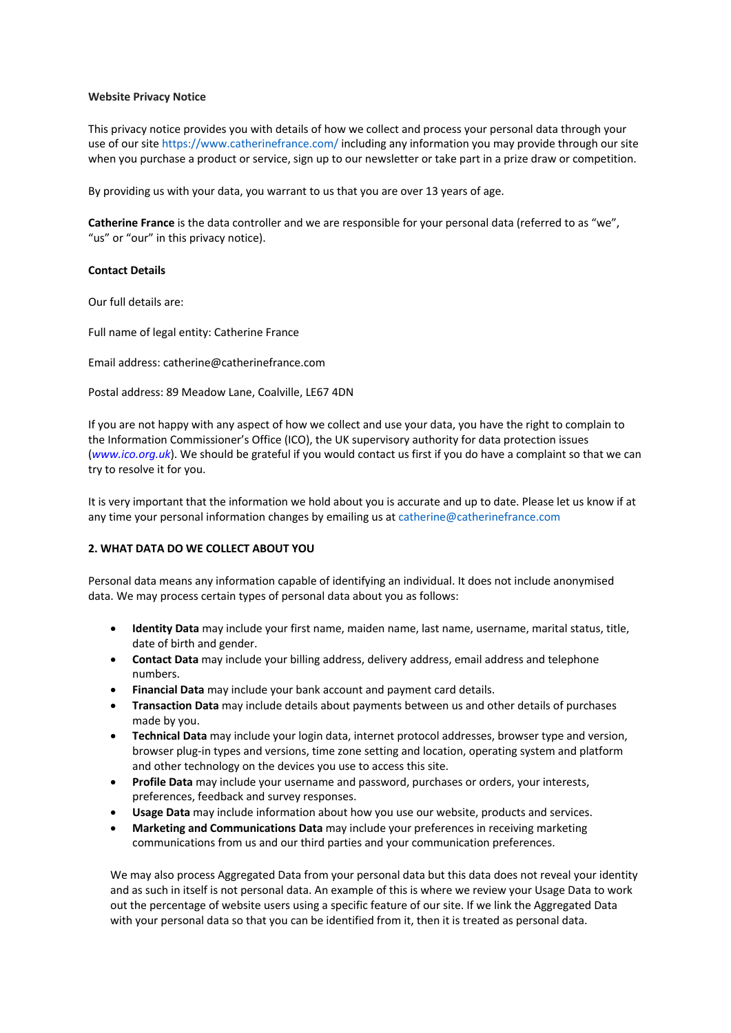#### **Website Privacy Notice**

This privacy notice provides you with details of how we collect and process your personal data through your use of our site https://www.catherinefrance.com/ including any information you may provide through our site when you purchase a product or service, sign up to our newsletter or take part in a prize draw or competition.

By providing us with your data, you warrant to us that you are over 13 years of age.

**Catherine France** is the data controller and we are responsible for your personal data (referred to as "we", "us" or "our" in this privacy notice).

## **Contact Details**

Our full details are:

Full name of legal entity: Catherine France

Email address: catherine@catherinefrance.com

Postal address: 89 Meadow Lane, Coalville, LE67 4DN

If you are not happy with any aspect of how we collect and use your data, you have the right to complain to the Information Commissioner's Office (ICO), the UK supervisory authority for data protection issues (*www.ico.org.uk*). We should be grateful if you would contact us first if you do have a complaint so that we can try to resolve it for you.

It is very important that the information we hold about you is accurate and up to date. Please let us know if at any time your personal information changes by emailing us at catherine@catherinefrance.com

# **2. WHAT DATA DO WE COLLECT ABOUT YOU**

Personal data means any information capable of identifying an individual. It does not include anonymised data. We may process certain types of personal data about you as follows:

- **Identity Data** may include your first name, maiden name, last name, username, marital status, title, date of birth and gender.
- **Contact Data** may include your billing address, delivery address, email address and telephone numbers.
- **Financial Data** may include your bank account and payment card details.
- **Transaction Data** may include details about payments between us and other details of purchases made by you.
- **Technical Data** may include your login data, internet protocol addresses, browser type and version, browser plug-in types and versions, time zone setting and location, operating system and platform and other technology on the devices you use to access this site.
- **Profile Data** may include your username and password, purchases or orders, your interests, preferences, feedback and survey responses.
- **Usage Data** may include information about how you use our website, products and services.
- **Marketing and Communications Data** may include your preferences in receiving marketing communications from us and our third parties and your communication preferences.

We may also process Aggregated Data from your personal data but this data does not reveal your identity and as such in itself is not personal data. An example of this is where we review your Usage Data to work out the percentage of website users using a specific feature of our site. If we link the Aggregated Data with your personal data so that you can be identified from it, then it is treated as personal data.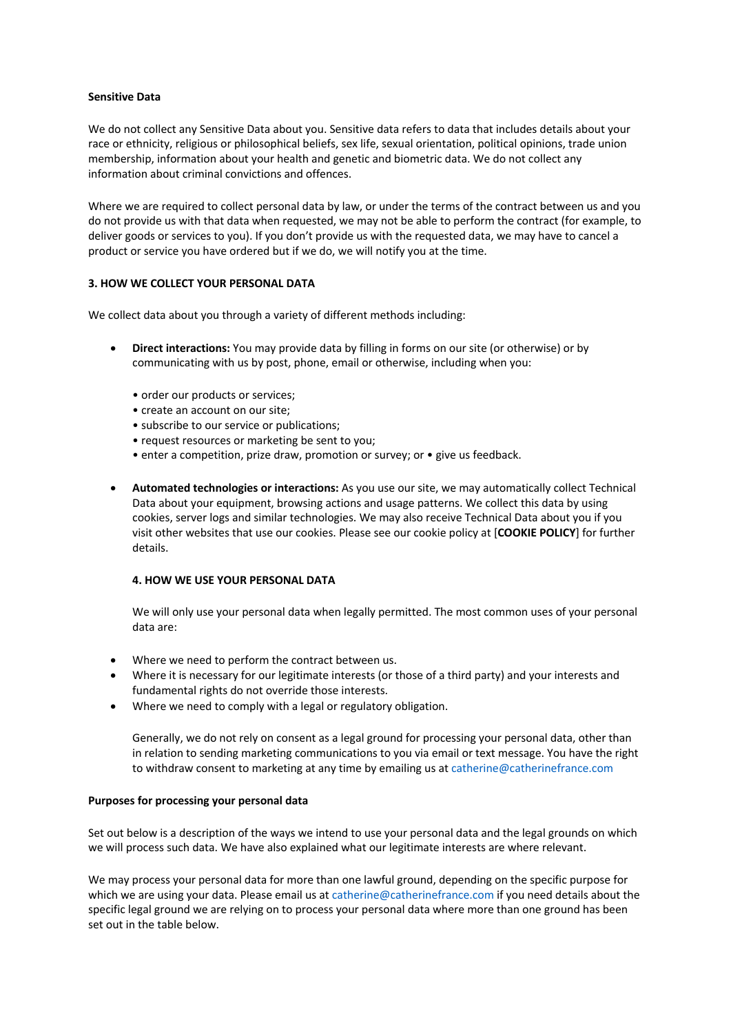## **Sensitive Data**

We do not collect any Sensitive Data about you. Sensitive data refers to data that includes details about your race or ethnicity, religious or philosophical beliefs, sex life, sexual orientation, political opinions, trade union membership, information about your health and genetic and biometric data. We do not collect any information about criminal convictions and offences.

Where we are required to collect personal data by law, or under the terms of the contract between us and you do not provide us with that data when requested, we may not be able to perform the contract (for example, to deliver goods or services to you). If you don't provide us with the requested data, we may have to cancel a product or service you have ordered but if we do, we will notify you at the time.

# **3. HOW WE COLLECT YOUR PERSONAL DATA**

We collect data about you through a variety of different methods including:

- **Direct interactions:** You may provide data by filling in forms on our site (or otherwise) or by communicating with us by post, phone, email or otherwise, including when you:
	- order our products or services;
	- create an account on our site;
	- subscribe to our service or publications;
	- request resources or marketing be sent to you;
	- enter a competition, prize draw, promotion or survey; or give us feedback.
- **Automated technologies or interactions:** As you use our site, we may automatically collect Technical Data about your equipment, browsing actions and usage patterns. We collect this data by using cookies, server logs and similar technologies. We may also receive Technical Data about you if you visit other websites that use our cookies. Please see our cookie policy at [**COOKIE POLICY**] for further details.

## **4. HOW WE USE YOUR PERSONAL DATA**

We will only use your personal data when legally permitted. The most common uses of your personal data are:

- Where we need to perform the contract between us.
- Where it is necessary for our legitimate interests (or those of a third party) and your interests and fundamental rights do not override those interests.
- Where we need to comply with a legal or regulatory obligation.

Generally, we do not rely on consent as a legal ground for processing your personal data, other than in relation to sending marketing communications to you via email or text message. You have the right to withdraw consent to marketing at any time by emailing us at catherine@catherinefrance.com

#### **Purposes for processing your personal data**

Set out below is a description of the ways we intend to use your personal data and the legal grounds on which we will process such data. We have also explained what our legitimate interests are where relevant.

We may process your personal data for more than one lawful ground, depending on the specific purpose for which we are using your data. Please email us at catherine@catherinefrance.com if you need details about the specific legal ground we are relying on to process your personal data where more than one ground has been set out in the table below.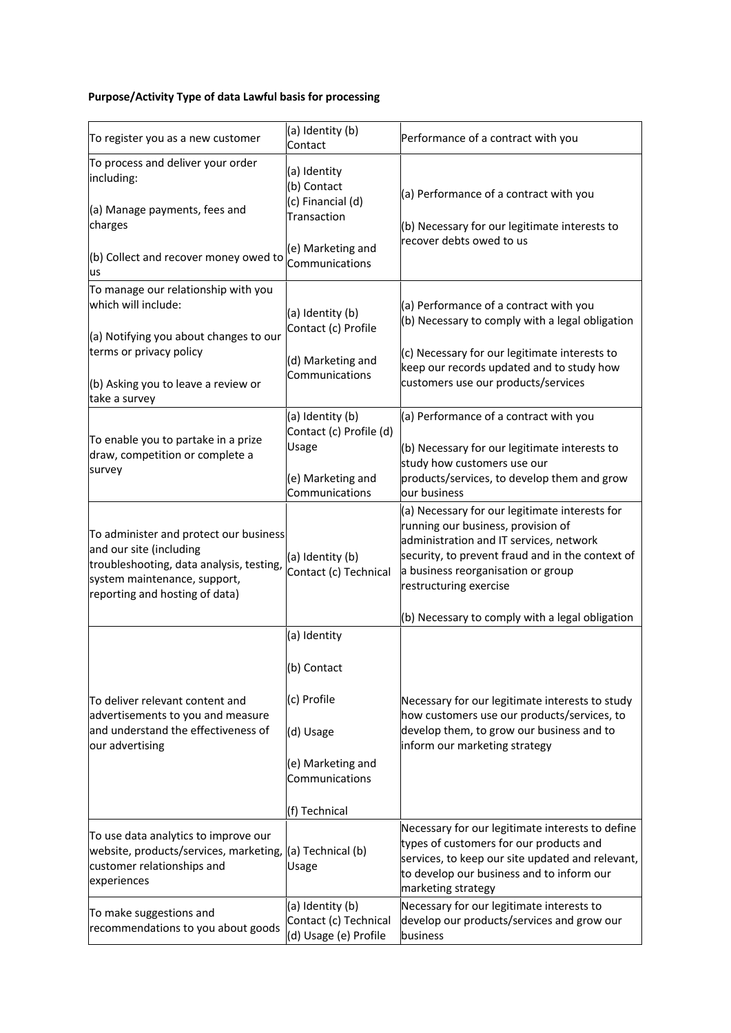# **Purpose/Activity Type of data Lawful basis for processing**

| To register you as a new customer                                                                                                                                               | (a) Identity (b)<br>Contact                                        | Performance of a contract with you                                                                                                                                                                                                                  |
|---------------------------------------------------------------------------------------------------------------------------------------------------------------------------------|--------------------------------------------------------------------|-----------------------------------------------------------------------------------------------------------------------------------------------------------------------------------------------------------------------------------------------------|
| To process and deliver your order<br>including:<br>(a) Manage payments, fees and<br>charges                                                                                     | (a) Identity<br>(b) Contact<br>(c) Financial (d)<br>Transaction    | (a) Performance of a contract with you<br>(b) Necessary for our legitimate interests to                                                                                                                                                             |
| (b) Collect and recover money owed to<br>us                                                                                                                                     | recover debts owed to us<br>(e) Marketing and<br>Communications    |                                                                                                                                                                                                                                                     |
| To manage our relationship with you<br>which will include:                                                                                                                      | (a) Identity (b)                                                   | (a) Performance of a contract with you<br>(b) Necessary to comply with a legal obligation                                                                                                                                                           |
| (a) Notifying you about changes to our<br>terms or privacy policy                                                                                                               | Contact (c) Profile<br>(d) Marketing and<br>Communications         | (c) Necessary for our legitimate interests to<br>keep our records updated and to study how<br>customers use our products/services                                                                                                                   |
| (b) Asking you to leave a review or<br>take a survey                                                                                                                            |                                                                    |                                                                                                                                                                                                                                                     |
| To enable you to partake in a prize<br>draw, competition or complete a<br>survey                                                                                                | (a) Identity (b)<br>Contact (c) Profile (d)<br>Usage               | (a) Performance of a contract with you<br>(b) Necessary for our legitimate interests to                                                                                                                                                             |
|                                                                                                                                                                                 | (e) Marketing and<br>Communications                                | study how customers use our<br>products/services, to develop them and grow<br>our business                                                                                                                                                          |
| To administer and protect our business<br>and our site (including<br>troubleshooting, data analysis, testing,<br>system maintenance, support,<br>reporting and hosting of data) | (a) Identity (b)<br>Contact (c) Technical                          | (a) Necessary for our legitimate interests for<br>running our business, provision of<br>administration and IT services, network<br>security, to prevent fraud and in the context of<br>a business reorganisation or group<br>restructuring exercise |
|                                                                                                                                                                                 |                                                                    | (b) Necessary to comply with a legal obligation                                                                                                                                                                                                     |
| To deliver relevant content and<br>advertisements to you and measure<br>and understand the effectiveness of<br>our advertising                                                  | (a) Identity<br>(b) Contact<br>(c) Profile                         | Necessary for our legitimate interests to study<br>how customers use our products/services, to                                                                                                                                                      |
|                                                                                                                                                                                 | (d) Usage<br>(e) Marketing and<br>Communications                   | develop them, to grow our business and to<br>inform our marketing strategy                                                                                                                                                                          |
|                                                                                                                                                                                 | (f) Technical                                                      |                                                                                                                                                                                                                                                     |
| To use data analytics to improve our<br>website, products/services, marketing, (a) Technical (b)<br>customer relationships and<br>experiences                                   | Usage                                                              | Necessary for our legitimate interests to define<br>types of customers for our products and<br>services, to keep our site updated and relevant,<br>to develop our business and to inform our<br>marketing strategy                                  |
| To make suggestions and<br>recommendations to you about goods                                                                                                                   | (a) Identity (b)<br>Contact (c) Technical<br>(d) Usage (e) Profile | Necessary for our legitimate interests to<br>develop our products/services and grow our<br>business                                                                                                                                                 |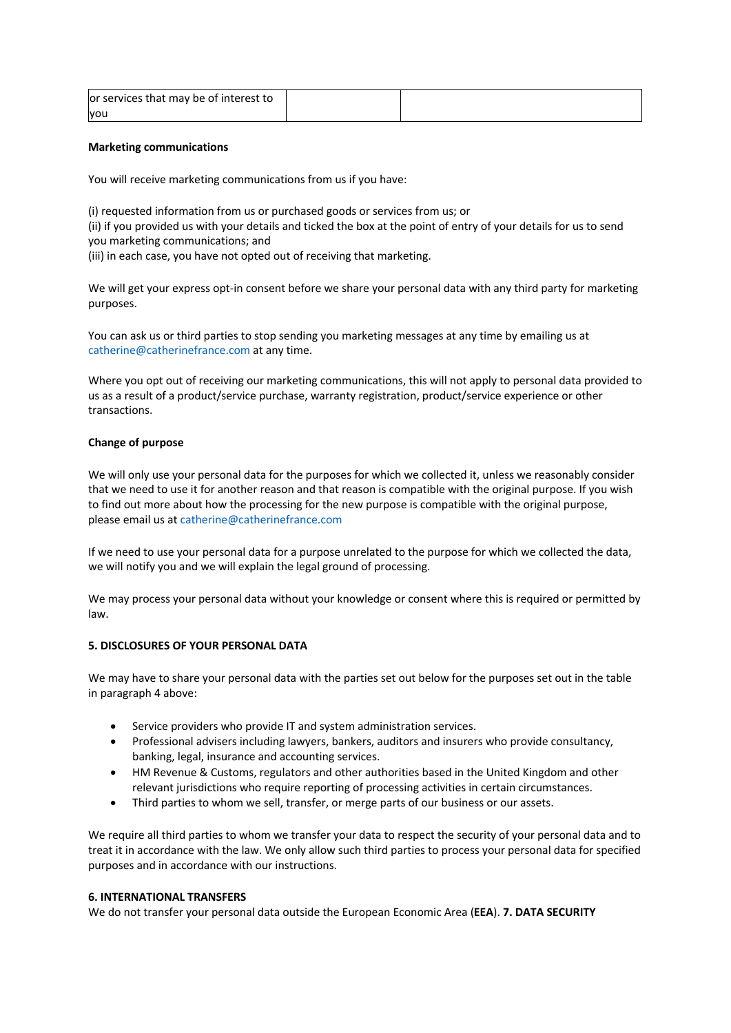| or services that may be of interest to |  |
|----------------------------------------|--|
| vou                                    |  |

#### **Marketing communications**

You will receive marketing communications from us if you have:

(i) requested information from us or purchased goods or services from us; or (ii) if you provided us with your details and ticked the box at the point of entry of your details for us to send you marketing communications; and (iii) in each case, you have not opted out of receiving that marketing.

We will get your express opt-in consent before we share your personal data with any third party for marketing purposes.

You can ask us or third parties to stop sending you marketing messages at any time by emailing us at catherine@catherinefrance.com at any time.

Where you opt out of receiving our marketing communications, this will not apply to personal data provided to us as a result of a product/service purchase, warranty registration, product/service experience or other transactions.

# **Change of purpose**

We will only use your personal data for the purposes for which we collected it, unless we reasonably consider that we need to use it for another reason and that reason is compatible with the original purpose. If you wish to find out more about how the processing for the new purpose is compatible with the original purpose, please email us at catherine@catherinefrance.com

If we need to use your personal data for a purpose unrelated to the purpose for which we collected the data, we will notify you and we will explain the legal ground of processing.

We may process your personal data without your knowledge or consent where this is required or permitted by law.

# **5. DISCLOSURES OF YOUR PERSONAL DATA**

We may have to share your personal data with the parties set out below for the purposes set out in the table in paragraph 4 above:

- Service providers who provide IT and system administration services.
- Professional advisers including lawyers, bankers, auditors and insurers who provide consultancy, banking, legal, insurance and accounting services.
- HM Revenue & Customs, regulators and other authorities based in the United Kingdom and other relevant jurisdictions who require reporting of processing activities in certain circumstances.
- Third parties to whom we sell, transfer, or merge parts of our business or our assets.

We require all third parties to whom we transfer your data to respect the security of your personal data and to treat it in accordance with the law. We only allow such third parties to process your personal data for specified purposes and in accordance with our instructions.

# **6. INTERNATIONAL TRANSFERS**

We do not transfer your personal data outside the European Economic Area (**EEA**). **7. DATA SECURITY**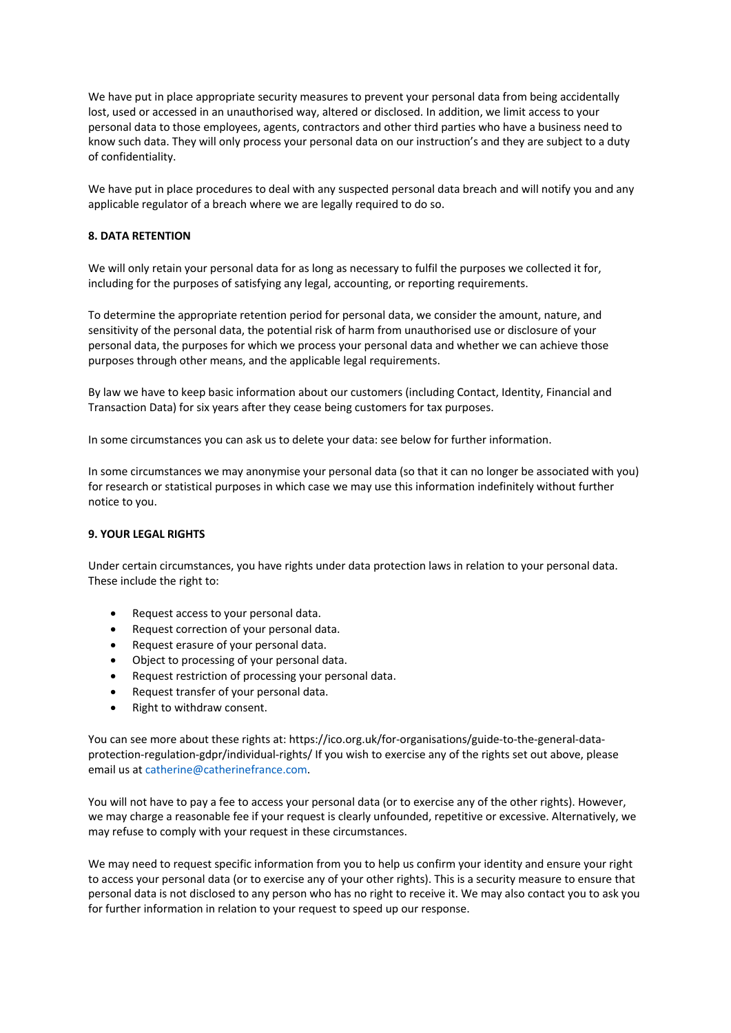We have put in place appropriate security measures to prevent your personal data from being accidentally lost, used or accessed in an unauthorised way, altered or disclosed. In addition, we limit access to your personal data to those employees, agents, contractors and other third parties who have a business need to know such data. They will only process your personal data on our instruction's and they are subject to a duty of confidentiality.

We have put in place procedures to deal with any suspected personal data breach and will notify you and any applicable regulator of a breach where we are legally required to do so.

# **8. DATA RETENTION**

We will only retain your personal data for as long as necessary to fulfil the purposes we collected it for, including for the purposes of satisfying any legal, accounting, or reporting requirements.

To determine the appropriate retention period for personal data, we consider the amount, nature, and sensitivity of the personal data, the potential risk of harm from unauthorised use or disclosure of your personal data, the purposes for which we process your personal data and whether we can achieve those purposes through other means, and the applicable legal requirements.

By law we have to keep basic information about our customers (including Contact, Identity, Financial and Transaction Data) for six years after they cease being customers for tax purposes.

In some circumstances you can ask us to delete your data: see below for further information.

In some circumstances we may anonymise your personal data (so that it can no longer be associated with you) for research or statistical purposes in which case we may use this information indefinitely without further notice to you.

# **9. YOUR LEGAL RIGHTS**

Under certain circumstances, you have rights under data protection laws in relation to your personal data. These include the right to:

- Request access to your personal data.
- Request correction of your personal data.
- Request erasure of your personal data.
- Object to processing of your personal data.
- Request restriction of processing your personal data.
- Request transfer of your personal data.
- Right to withdraw consent.

You can see more about these rights at: https://ico.org.uk/for-organisations/guide-to-the-general-dataprotection-regulation-gdpr/individual-rights/ If you wish to exercise any of the rights set out above, please email us at catherine@catherinefrance.com.

You will not have to pay a fee to access your personal data (or to exercise any of the other rights). However, we may charge a reasonable fee if your request is clearly unfounded, repetitive or excessive. Alternatively, we may refuse to comply with your request in these circumstances.

We may need to request specific information from you to help us confirm your identity and ensure your right to access your personal data (or to exercise any of your other rights). This is a security measure to ensure that personal data is not disclosed to any person who has no right to receive it. We may also contact you to ask you for further information in relation to your request to speed up our response.